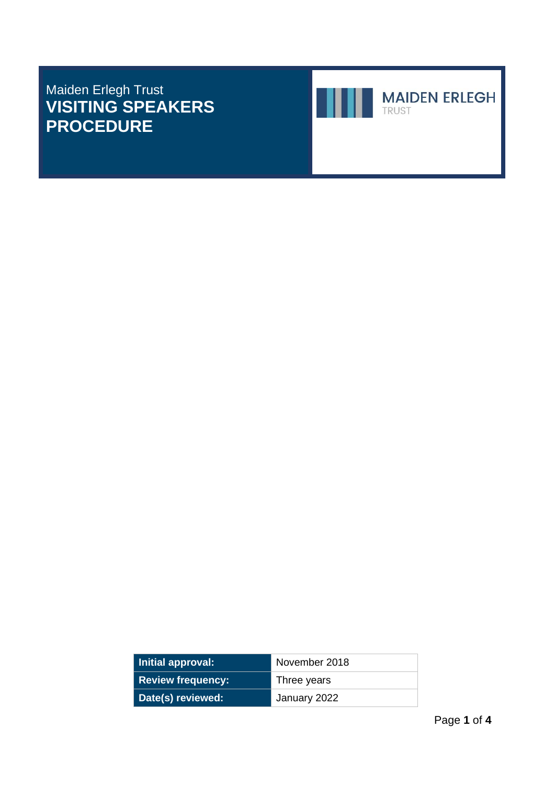## Maiden Erlegh Trust **VISITING SPEAKERS PROCEDURE**



**Initial approval:** November 2018 **Review frequency:** Three years **Date(s) reviewed:** January 2022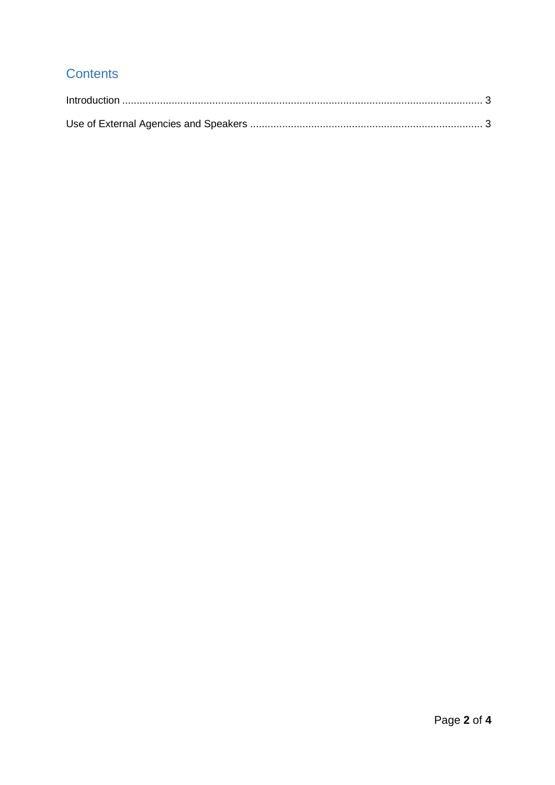## Contents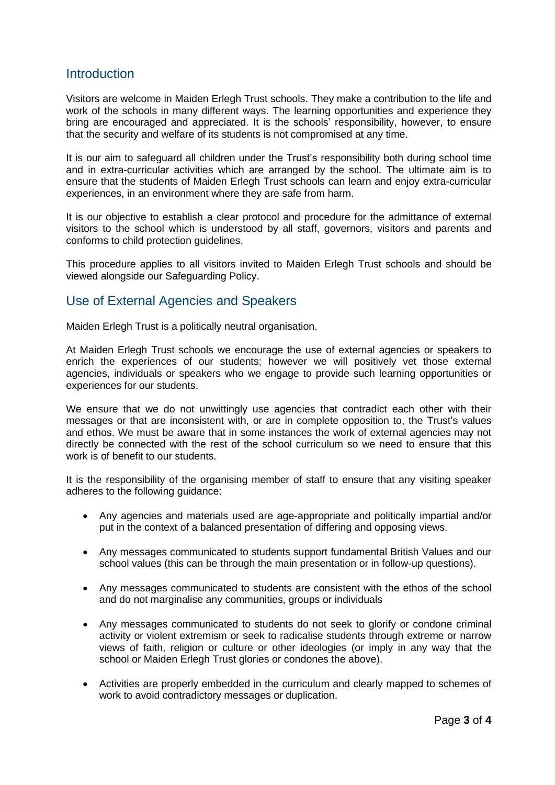## <span id="page-2-0"></span>**Introduction**

Visitors are welcome in Maiden Erlegh Trust schools. They make a contribution to the life and work of the schools in many different ways. The learning opportunities and experience they bring are encouraged and appreciated. It is the schools' responsibility, however, to ensure that the security and welfare of its students is not compromised at any time.

It is our aim to safeguard all children under the Trust's responsibility both during school time and in extra-curricular activities which are arranged by the school. The ultimate aim is to ensure that the students of Maiden Erlegh Trust schools can learn and enjoy extra-curricular experiences, in an environment where they are safe from harm.

It is our objective to establish a clear protocol and procedure for the admittance of external visitors to the school which is understood by all staff, governors, visitors and parents and conforms to child protection guidelines.

This procedure applies to all visitors invited to Maiden Erlegh Trust schools and should be viewed alongside our Safeguarding Policy.

## <span id="page-2-1"></span>Use of External Agencies and Speakers

Maiden Erlegh Trust is a politically neutral organisation.

At Maiden Erlegh Trust schools we encourage the use of external agencies or speakers to enrich the experiences of our students; however we will positively vet those external agencies, individuals or speakers who we engage to provide such learning opportunities or experiences for our students.

We ensure that we do not unwittingly use agencies that contradict each other with their messages or that are inconsistent with, or are in complete opposition to, the Trust's values and ethos. We must be aware that in some instances the work of external agencies may not directly be connected with the rest of the school curriculum so we need to ensure that this work is of benefit to our students.

It is the responsibility of the organising member of staff to ensure that any visiting speaker adheres to the following guidance:

- Any agencies and materials used are age-appropriate and politically impartial and/or put in the context of a balanced presentation of differing and opposing views.
- Any messages communicated to students support fundamental British Values and our school values (this can be through the main presentation or in follow-up questions).
- Any messages communicated to students are consistent with the ethos of the school and do not marginalise any communities, groups or individuals
- Any messages communicated to students do not seek to glorify or condone criminal activity or violent extremism or seek to radicalise students through extreme or narrow views of faith, religion or culture or other ideologies (or imply in any way that the school or Maiden Erlegh Trust glories or condones the above).
- Activities are properly embedded in the curriculum and clearly mapped to schemes of work to avoid contradictory messages or duplication.